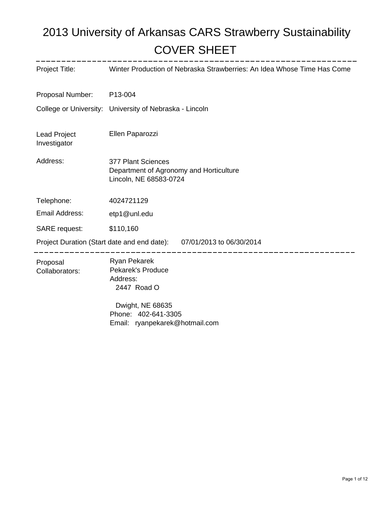# COVER SHEET 2013 University of Arkansas CARS Strawberry Sustainability

| Project Title:                                                       | Winter Production of Nebraska Strawberries: An Idea Whose Time Has Come                 |
|----------------------------------------------------------------------|-----------------------------------------------------------------------------------------|
| Proposal Number:                                                     | P13-004                                                                                 |
|                                                                      | College or University: University of Nebraska - Lincoln                                 |
| <b>Lead Project</b><br>Investigator                                  | Ellen Paparozzi                                                                         |
| Address:                                                             | 377 Plant Sciences<br>Department of Agronomy and Horticulture<br>Lincoln, NE 68583-0724 |
| Telephone:                                                           | 4024721129                                                                              |
| Email Address:                                                       | etp1@unl.edu                                                                            |
| <b>SARE</b> request:                                                 | \$110,160                                                                               |
| Project Duration (Start date and end date): 07/01/2013 to 06/30/2014 |                                                                                         |
| Proposal<br>Collaborators:                                           | <b>Ryan Pekarek</b><br><b>Pekarek's Produce</b><br>Address:<br>2447 Road O              |
|                                                                      | Dwight, NE 68635<br>Phone: 402-641-3305<br>Email: ryanpekarek@hotmail.com               |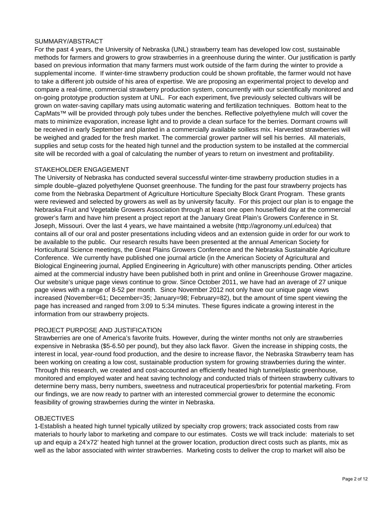### SUMMARY/ABSTRACT

For the past 4 years, the University of Nebraska (UNL) strawberry team has developed low cost, sustainable methods for farmers and growers to grow strawberries in a greenhouse during the winter. Our justification is partly based on previous information that many farmers must work outside of the farm during the winter to provide a supplemental income. If winter-time strawberry production could be shown profitable, the farmer would not have to take a different job outside of his area of expertise. We are proposing an experimental project to develop and compare a real-time, commercial strawberry production system, concurrently with our scientifically monitored and on-going prototype production system at UNL. For each experiment, five previously selected cultivars will be grown on water-saving capillary mats using automatic watering and fertilization techniques. Bottom heat to the CapMats™ will be provided through poly tubes under the benches. Reflective polyethylene mulch will cover the mats to minimize evaporation, increase light and to provide a clean surface for the berries. Dormant crowns will be received in early September and planted in a commercially available soilless mix. Harvested strawberries will be weighed and graded for the fresh market. The commercial grower partner will sell his berries. All materials, supplies and setup costs for the heated high tunnel and the production system to be installed at the commercial site will be recorded with a goal of calculating the number of years to return on investment and profitability.

### STAKEHOLDER ENGAGEMENT

The University of Nebraska has conducted several successful winter-time strawberry production studies in a simple double–glazed polyethylene Quonset greenhouse. The funding for the past four strawberry projects has come from the Nebraska Department of Agriculture Horticulture Specialty Block Grant Program. These grants were reviewed and selected by growers as well as by university faculty. For this project our plan is to engage the Nebraska Fruit and Vegetable Growers Association through at least one open house/field day at the commercial grower's farm and have him present a project report at the January Great Plain's Growers Conference in St. Joseph, Missouri. Over the last 4 years, we have maintained a website (http://agronomy.unl.edu/cea) that contains all of our oral and poster presentations including videos and an extension guide in order for our work to be available to the public. Our research results have been presented at the annual American Society for Horticultural Science meetings, the Great Plains Growers Conference and the Nebraska Sustainable Agriculture Conference. We currently have published one journal article (in the American Society of Agricultural and Biological Engineering journal, Applied Engineering in Agriculture) with other manuscripts pending. Other articles aimed at the commercial industry have been published both in print and online in Greenhouse Grower magazine. Our website's unique page views continue to grow. Since October 2011, we have had an average of 27 unique page views with a range of 8-52 per month. Since November 2012 not only have our unique page views increased (November=61; December=35; January=98; February=82), but the amount of time spent viewing the page has increased and ranged from 3:09 to 5:34 minutes. These figures indicate a growing interest in the information from our strawberry projects.

### PROJECT PURPOSE AND JUSTIFICATION

Strawberries are one of America's favorite fruits. However, during the winter months not only are strawberries expensive in Nebraska (\$5-6.50 per pound), but they also lack flavor. Given the increase in shipping costs, the interest in local, year-round food production, and the desire to increase flavor, the Nebraska Strawberry team has been working on creating a low cost, sustainable production system for growing strawberries during the winter. Through this research, we created and cost-accounted an efficiently heated high tunnel/plastic greenhouse, monitored and employed water and heat saving technology and conducted trials of thirteen strawberry cultivars to determine berry mass, berry numbers, sweetness and nutraceutical properties/brix for potential marketing. From our findings, we are now ready to partner with an interested commercial grower to determine the economic feasibility of growing strawberries during the winter in Nebraska.

### **OBJECTIVES**

1-Establish a heated high tunnel typically utilized by specialty crop growers; track associated costs from raw materials to hourly labor to marketing and compare to our estimates. Costs we will track include: materials to set up and equip a 24'x72' heated high tunnel at the grower location, production direct costs such as plants, mix as well as the labor associated with winter strawberries. Marketing costs to deliver the crop to market will also be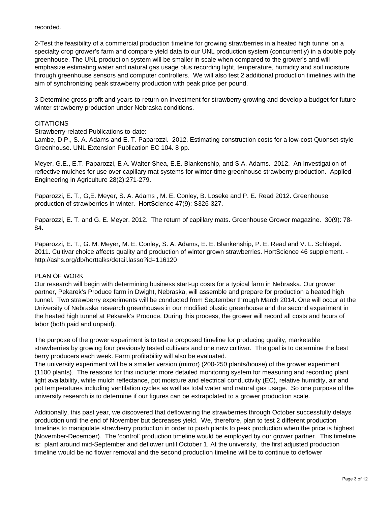#### recorded.

2-Test the feasibility of a commercial production timeline for growing strawberries in a heated high tunnel on a specialty crop grower's farm and compare yield data to our UNL production system (concurrently) in a double poly greenhouse. The UNL production system will be smaller in scale when compared to the grower's and will emphasize estimating water and natural gas usage plus recording light, temperature, humidity and soil moisture through greenhouse sensors and computer controllers. We will also test 2 additional production timelines with the aim of synchronizing peak strawberry production with peak price per pound.

3-Determine gross profit and years-to-return on investment for strawberry growing and develop a budget for future winter strawberry production under Nebraska conditions.

#### **CITATIONS**

Strawberry-related Publications to-date:

Lambe, D.P., S. A. Adams and E. T. Paparozzi. 2012. Estimating construction costs for a low-cost Quonset-style Greenhouse. UNL Extension Publication EC 104. 8 pp.

Meyer, G.E., E.T. Paparozzi, E A. Walter-Shea, E.E. Blankenship, and S.A. Adams. 2012. An Investigation of reflective mulches for use over capillary mat systems for winter-time greenhouse strawberry production. Applied Engineering in Agriculture 28(2):271-279.

Paparozzi, E. T., G,E. Meyer, S. A. Adams , M. E. Conley, B. Loseke and P. E. Read 2012. Greenhouse production of strawberries in winter. HortScience 47(9): S326-327.

Paparozzi, E. T. and G. E. Meyer. 2012. The return of capillary mats. Greenhouse Grower magazine. 30(9): 78- 84.

Paparozzi, E. T., G. M. Meyer, M. E. Conley, S. A. Adams, E. E. Blankenship, P. E. Read and V. L. Schlegel. 2011. Cultivar choice affects quality and production of winter grown strawberries. HortScience 46 supplement. http://ashs.org/db/horttalks/detail.lasso?id=116120

### PLAN OF WORK

Our research will begin with determining business start-up costs for a typical farm in Nebraska. Our grower partner, Pekarek's Produce farm in Dwight, Nebraska, will assemble and prepare for production a heated high tunnel. Two strawberry experiments will be conducted from September through March 2014. One will occur at the University of Nebraska research greenhouses in our modified plastic greenhouse and the second experiment in the heated high tunnel at Pekarek's Produce. During this process, the grower will record all costs and hours of labor (both paid and unpaid).

The purpose of the grower experiment is to test a proposed timeline for producing quality, marketable strawberries by growing four previously tested cultivars and one new cultivar. The goal is to determine the best berry producers each week. Farm profitability will also be evaluated.

The university experiment will be a smaller version (mirror) (200-250 plants/house) of the grower experiment (1100 plants). The reasons for this include: more detailed monitoring system for measuring and recording plant light availability, white mulch reflectance, pot moisture and electrical conductivity (EC), relative humidity, air and pot temperatures including ventilation cycles as well as total water and natural gas usage. So one purpose of the university research is to determine if our figures can be extrapolated to a grower production scale.

Additionally, this past year, we discovered that deflowering the strawberries through October successfully delays production until the end of November but decreases yield. We, therefore, plan to test 2 different production timelines to manipulate strawberry production in order to push plants to peak production when the price is highest (November-December). The 'control' production timeline would be employed by our grower partner. This timeline is: plant around mid-September and deflower until October 1. At the university, the first adjusted production timeline would be no flower removal and the second production timeline will be to continue to deflower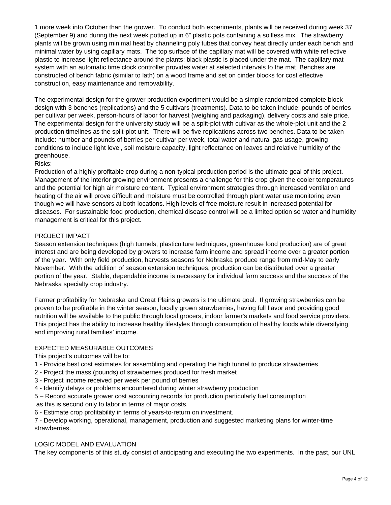1 more week into October than the grower. To conduct both experiments, plants will be received during week 37 (September 9) and during the next week potted up in 6" plastic pots containing a soilless mix. The strawberry plants will be grown using minimal heat by channeling poly tubes that convey heat directly under each bench and minimal water by using capillary mats. The top surface of the capillary mat will be covered with white reflective plastic to increase light reflectance around the plants; black plastic is placed under the mat. The capillary mat system with an automatic time clock controller provides water at selected intervals to the mat. Benches are constructed of bench fabric (similar to lath) on a wood frame and set on cinder blocks for cost effective construction, easy maintenance and removability.

The experimental design for the grower production experiment would be a simple randomized complete block design with 3 benches (replications) and the 5 cultivars (treatments). Data to be taken include: pounds of berries per cultivar per week, person-hours of labor for harvest (weighing and packaging), delivery costs and sale price. The experimental design for the university study will be a split-plot with cultivar as the whole-plot unit and the 2 production timelines as the split-plot unit. There will be five replications across two benches. Data to be taken include: number and pounds of berries per cultivar per week, total water and natural gas usage, growing conditions to include light level, soil moisture capacity, light reflectance on leaves and relative humidity of the greenhouse.

### Risks:

Production of a highly profitable crop during a non-typical production period is the ultimate goal of this project. Management of the interior growing environment presents a challenge for this crop given the cooler temperatures and the potential for high air moisture content. Typical environment strategies through increased ventilation and heating of the air will prove difficult and moisture must be controlled through plant water use monitoring even though we will have sensors at both locations. High levels of free moisture result in increased potential for diseases. For sustainable food production, chemical disease control will be a limited option so water and humidity management is critical for this project.

### PROJECT IMPACT

Season extension techniques (high tunnels, plasticulture techniques, greenhouse food production) are of great interest and are being developed by growers to increase farm income and spread income over a greater portion of the year. With only field production, harvests seasons for Nebraska produce range from mid-May to early November. With the addition of season extension techniques, production can be distributed over a greater portion of the year. Stable, dependable income is necessary for individual farm success and the success of the Nebraska specialty crop industry.

Farmer profitability for Nebraska and Great Plains growers is the ultimate goal. If growing strawberries can be proven to be profitable in the winter season, locally grown strawberries, having full flavor and providing good nutrition will be available to the public through local grocers, indoor farmer's markets and food service providers. This project has the ability to increase healthy lifestyles through consumption of healthy foods while diversifying and improving rural families' income.

### EXPECTED MEASURABLE OUTCOMES

This project's outcomes will be to:

- 1 Provide best cost estimates for assembling and operating the high tunnel to produce strawberries
- 2 Project the mass (pounds) of strawberries produced for fresh market
- 3 Project income received per week per pound of berries
- 4 Identify delays or problems encountered during winter strawberry production
- 5 Record accurate grower cost accounting records for production particularly fuel consumption
- as this is second only to labor in terms of major costs.
- 6 Estimate crop profitability in terms of years-to-return on investment.

7 - Develop working, operational, management, production and suggested marketing plans for winter-time strawberries.

### LOGIC MODEL AND EVALUATION

The key components of this study consist of anticipating and executing the two experiments. In the past, our UNL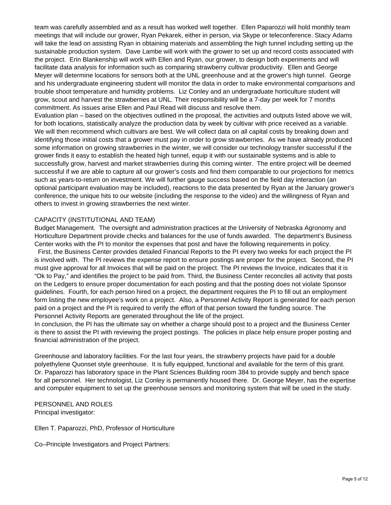team was carefully assembled and as a result has worked well together. Ellen Paparozzi will hold monthly team meetings that will include our grower, Ryan Pekarek, either in person, via Skype or teleconference. Stacy Adams will take the lead on assisting Ryan in obtaining materials and assembling the high tunnel including setting up the sustainable production system. Dave Lambe will work with the grower to set up and record costs associated with the project. Erin Blankenship will work with Ellen and Ryan, our grower, to design both experiments and will facilitate data analysis for information such as comparing strawberry cultivar productivity. Ellen and George Meyer will determine locations for sensors both at the UNL greenhouse and at the grower's high tunnel. George and his undergraduate engineering student will monitor the data in order to make environmental comparisons and trouble shoot temperature and humidity problems. Liz Conley and an undergraduate horticulture student will grow, scout and harvest the strawberries at UNL. Their responsibility will be a 7-day per week for 7 months commitment. As issues arise Ellen and Paul Read will discuss and resolve them.

Evaluation plan – based on the objectives outlined in the proposal, the activities and outputs listed above we will, for both locations, statistically analyze the production data by week by cultivar with price received as a variable. We will then recommend which cultivars are best. We will collect data on all capital costs by breaking down and identifying those initial costs that a grower must pay in order to grow strawberries. As we have already produced some information on growing strawberries in the winter, we will consider our technology transfer successful if the grower finds it easy to establish the heated high tunnel, equip it with our sustainable systems and is able to successfully grow, harvest and market strawberries during this coming winter. The entire project will be deemed successful if we are able to capture all our grower's costs and find them comparable to our projections for metrics such as years-to-return on investment. We will further gauge success based on the field day interaction (an optional participant evaluation may be included), reactions to the data presented by Ryan at the January grower's conference, the unique hits to our website (including the response to the video) and the willingness of Ryan and others to invest in growing strawberries the next winter.

### CAPACITY (INSTITUTIONAL AND TEAM)

Budget Management. The oversight and administration practices at the University of Nebraska Agronomy and Horticulture Department provide checks and balances for the use of funds awarded. The department's Business Center works with the PI to monitor the expenses that post and have the following requirements in policy. First, the Business Center provides detailed Financial Reports to the PI every two weeks for each project the PI is involved with. The PI reviews the expense report to ensure postings are proper for the project. Second, the PI

must give approval for all Invoices that will be paid on the project. The PI reviews the Invoice, indicates that it is "Ok to Pay," and identifies the project to be paid from. Third, the Business Center reconciles all activity that posts on the Ledgers to ensure proper documentation for each posting and that the posting does not violate Sponsor guidelines. Fourth, for each person hired on a project, the department requires the PI to fill out an employment form listing the new employee's work on a project. Also, a Personnel Activity Report is generated for each person paid on a project and the PI is required to verify the effort of that person toward the funding source. The Personnel Activity Reports are generated throughout the life of the project.

 In conclusion, the PI has the ultimate say on whether a charge should post to a project and the Business Center is there to assist the PI with reviewing the project postings. The policies in place help ensure proper posting and financial administration of the project.

Greenhouse and laboratory facilities. For the last four years, the strawberry projects have paid for a double polyethylene Quonset style greenhouse. It is fully equipped, functional and available for the term of this grant. Dr. Paparozzi has laboratory space in the Plant Sciences Building room 384 to provide supply and bench space for all personnel. Her technologist, Liz Conley is permanently housed there. Dr. George Meyer, has the expertise and computer equipment to set up the greenhouse sensors and monitoring system that will be used in the study.

PERSONNEL AND ROLES Principal investigator:

Ellen T. Paparozzi, PhD, Professor of Horticulture

Co–Principle Investigators and Project Partners: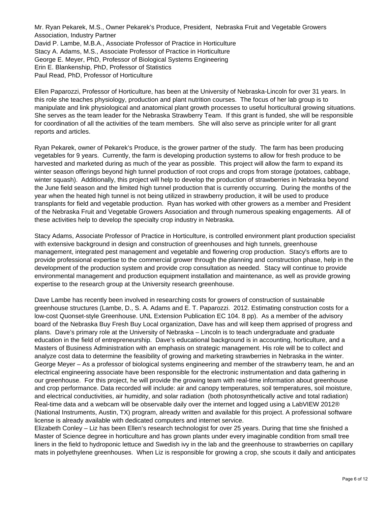Mr. Ryan Pekarek, M.S., Owner Pekarek's Produce, President, Nebraska Fruit and Vegetable Growers Association, Industry Partner David P. Lambe, M.B.A., Associate Professor of Practice in Horticulture Stacy A. Adams, M.S., Associate Professor of Practice in Horticulture George E. Meyer, PhD, Professor of Biological Systems Engineering Erin E. Blankenship, PhD, Professor of Statistics Paul Read, PhD, Professor of Horticulture

Ellen Paparozzi, Professor of Horticulture, has been at the University of Nebraska-Lincoln for over 31 years. In this role she teaches physiology, production and plant nutrition courses. The focus of her lab group is to manipulate and link physiological and anatomical plant growth processes to useful horticultural growing situations. She serves as the team leader for the Nebraska Strawberry Team. If this grant is funded, she will be responsible for coordination of all the activities of the team members. She will also serve as principle writer for all grant reports and articles.

Ryan Pekarek, owner of Pekarek's Produce, is the grower partner of the study. The farm has been producing vegetables for 9 years. Currently, the farm is developing production systems to allow for fresh produce to be harvested and marketed during as much of the year as possible. This project will allow the farm to expand its winter season offerings beyond high tunnel production of root crops and crops from storage (potatoes, cabbage, winter squash). Additionally, this project will help to develop the production of strawberries in Nebraska beyond the June field season and the limited high tunnel production that is currently occurring. During the months of the year when the heated high tunnel is not being utilized in strawberry production, it will be used to produce transplants for field and vegetable production. Ryan has worked with other growers as a member and President of the Nebraska Fruit and Vegetable Growers Association and through numerous speaking engagements. All of these activities help to develop the specialty crop industry in Nebraska.

Stacy Adams, Associate Professor of Practice in Horticulture, is controlled environment plant production specialist with extensive background in design and construction of greenhouses and high tunnels, greenhouse management, integrated pest management and vegetable and flowering crop production. Stacy's efforts are to provide professional expertise to the commercial grower through the planning and construction phase, help in the development of the production system and provide crop consultation as needed. Stacy will continue to provide environmental management and production equipment installation and maintenance, as well as provide growing expertise to the research group at the University research greenhouse.

Dave Lambe has recently been involved in researching costs for growers of construction of sustainable greenhouse structures (Lambe, D., S. A. Adams and E. T. Paparozzi. 2012. Estimating construction costs for a low-cost Quonset-style Greenhouse. UNL Extension Publication EC 104. 8 pp). As a member of the advisory board of the Nebraska Buy Fresh Buy Local organization, Dave has and will keep them apprised of progress and plans. Dave's primary role at the University of Nebraska – Lincoln is to teach undergraduate and graduate education in the field of entrepreneurship. Dave's educational background is in accounting, horticulture, and a Masters of Business Administration with an emphasis on strategic management. His role will be to collect and analyze cost data to determine the feasibility of growing and marketing strawberries in Nebraska in the winter. George Meyer – As a professor of biological systems engineering and member of the strawberry team, he and an electrical engineering associate have been responsible for the electronic instrumentation and data gathering in our greenhouse. For this project, he will provide the growing team with real-time information about greenhouse and crop performance. Data recorded will include: air and canopy temperatures, soil temperatures, soil moisture, and electrical conductivities, air humidity, and solar radiation (both photosynthetically active and total radiation) Real-time data and a webcam will be observable daily over the internet and logged using a LabVIEW 2012® (National Instruments, Austin, TX) program, already written and available for this project. A professional software license is already available with dedicated computers and internet service.

Elizabeth Conley – Liz has been Ellen's research technologist for over 25 years. During that time she finished a Master of Science degree in horticulture and has grown plants under every imaginable condition from small tree liners in the field to hydroponic lettuce and Swedish ivy in the lab and the greenhouse to strawberries on capillary mats in polyethylene greenhouses. When Liz is responsible for growing a crop, she scouts it daily and anticipates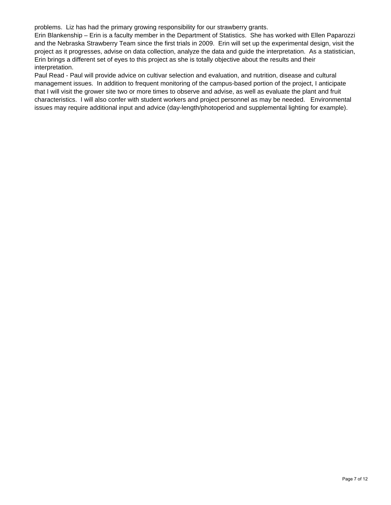problems. Liz has had the primary growing responsibility for our strawberry grants.

Erin Blankenship – Erin is a faculty member in the Department of Statistics. She has worked with Ellen Paparozzi and the Nebraska Strawberry Team since the first trials in 2009. Erin will set up the experimental design, visit the project as it progresses, advise on data collection, analyze the data and guide the interpretation. As a statistician, Erin brings a different set of eyes to this project as she is totally objective about the results and their interpretation.

Paul Read - Paul will provide advice on cultivar selection and evaluation, and nutrition, disease and cultural management issues. In addition to frequent monitoring of the campus-based portion of the project, I anticipate that I will visit the grower site two or more times to observe and advise, as well as evaluate the plant and fruit characteristics. I will also confer with student workers and project personnel as may be needed. Environmental issues may require additional input and advice (day-length/photoperiod and supplemental lighting for example).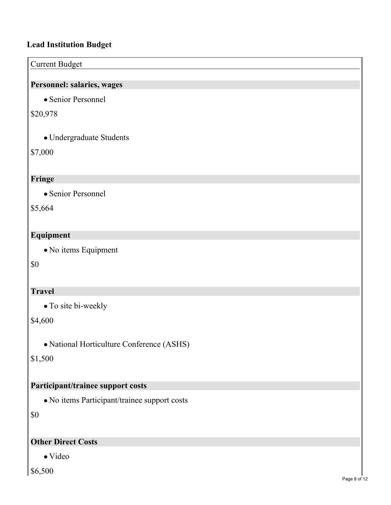# **Lead Institution Budget**

# Current Budget **Personnel: salaries, wages** • Senior Personnel \$20,978

Undergraduate Students

\$7,000

# **Fringe**

• Senior Personnel

\$5,664

# **Equipment**

No items Equipment

\$0

# **Travel**

• To site bi-weekly

# \$4,600

National Horticulture Conference (ASHS)

# \$1,500

# **Participant/trainee support costs**

No items Participant/trainee support costs

\$0

# **Other Direct Costs**

Video

\$6,500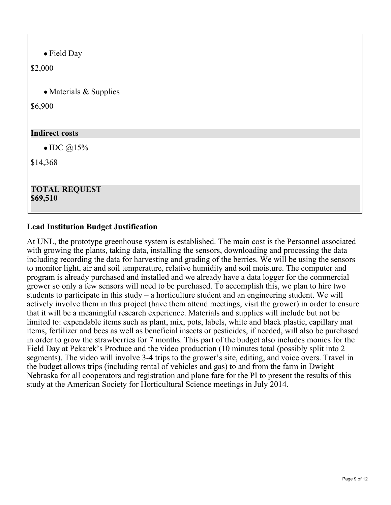Field Day

\$2,000

• Materials & Supplies

\$6,900

# **Indirect costs**

 $\bullet$  IDC  $@15\%$ 

\$14,368

### **TOTAL REQUEST \$69,510**

# **Lead Institution Budget Justification**

At UNL, the prototype greenhouse system is established. The main cost is the Personnel associated with growing the plants, taking data, installing the sensors, downloading and processing the data including recording the data for harvesting and grading of the berries. We will be using the sensors to monitor light, air and soil temperature, relative humidity and soil moisture. The computer and program is already purchased and installed and we already have a data logger for the commercial grower so only a few sensors will need to be purchased. To accomplish this, we plan to hire two students to participate in this study – a horticulture student and an engineering student. We will actively involve them in this project (have them attend meetings, visit the grower) in order to ensure that it will be a meaningful research experience. Materials and supplies will include but not be limited to: expendable items such as plant, mix, pots, labels, white and black plastic, capillary mat items, fertilizer and bees as well as beneficial insects or pesticides, if needed, will also be purchased in order to grow the strawberries for 7 months. This part of the budget also includes monies for the Field Day at Pekarek's Produce and the video production (10 minutes total (possibly split into 2 segments). The video will involve 3-4 trips to the grower's site, editing, and voice overs. Travel in the budget allows trips (including rental of vehicles and gas) to and from the farm in Dwight Nebraska for all cooperators and registration and plane fare for the PI to present the results of this study at the American Society for Horticultural Science meetings in July 2014.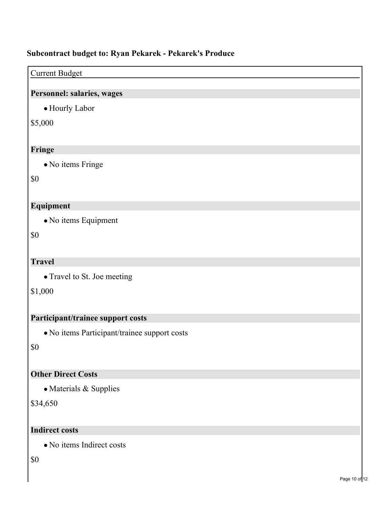# **Subcontract budget to: Ryan Pekarek - Pekarek's Produce**

### Current Budget

# **Personnel: salaries, wages**

Hourly Labor

# \$5,000

# **Fringe**

No items Fringe

\$0

# **Equipment**

No items Equipment

\$0

# **Travel**

• Travel to St. Joe meeting

\$1,000

# **Participant/trainee support costs**

No items Participant/trainee support costs

\$0

# **Other Direct Costs**

• Materials & Supplies

\$34,650

### **Indirect costs**

No items Indirect costs

\$0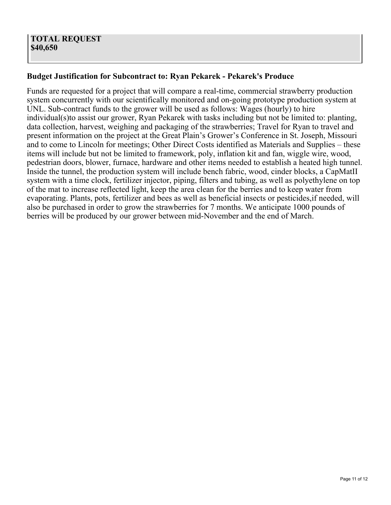# **Budget Justification for Subcontract to: Ryan Pekarek - Pekarek's Produce**

Funds are requested for a project that will compare a real-time, commercial strawberry production system concurrently with our scientifically monitored and on-going prototype production system at UNL. Sub-contract funds to the grower will be used as follows: Wages (hourly) to hire individual(s)to assist our grower, Ryan Pekarek with tasks including but not be limited to: planting, data collection, harvest, weighing and packaging of the strawberries; Travel for Ryan to travel and present information on the project at the Great Plain's Grower's Conference in St. Joseph, Missouri and to come to Lincoln for meetings; Other Direct Costs identified as Materials and Supplies – these items will include but not be limited to framework, poly, inflation kit and fan, wiggle wire, wood, pedestrian doors, blower, furnace, hardware and other items needed to establish a heated high tunnel. Inside the tunnel, the production system will include bench fabric, wood, cinder blocks, a CapMatII system with a time clock, fertilizer injector, piping, filters and tubing, as well as polyethylene on top of the mat to increase reflected light, keep the area clean for the berries and to keep water from evaporating. Plants, pots, fertilizer and bees as well as beneficial insects or pesticides,if needed, will also be purchased in order to grow the strawberries for 7 months. We anticipate 1000 pounds of berries will be produced by our grower between mid-November and the end of March.